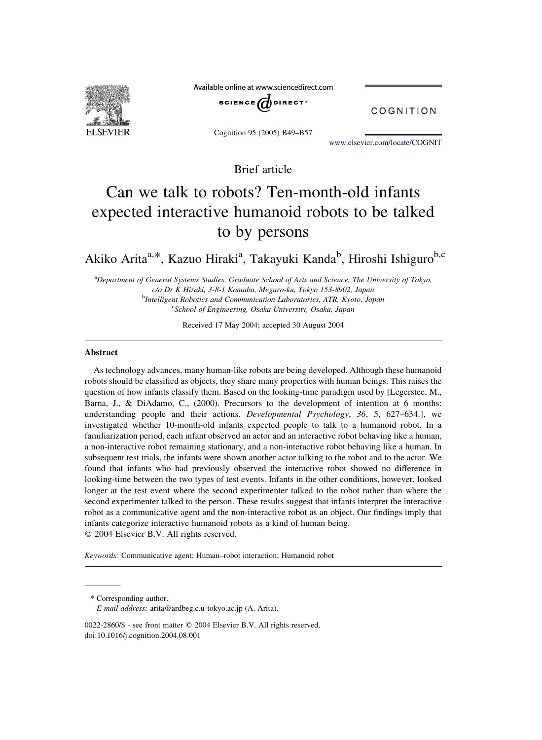

Available online at www.sciencedirect.com



COGNITION

Cognition 95 (2005) B49–B57

[www.elsevier.com/locate/COGNIT](http://www.elsevier.com/locate/COGNIT)

Brief article

# Can we talk to robots? Ten-month-old infants expected interactive humanoid robots to be talked to by persons

Akiko Arita<sup>a,\*</sup>, Kazuo Hiraki<sup>a</sup>, Takayuki Kanda<sup>b</sup>, Hiroshi Ishiguro<sup>b,c</sup>

<sup>a</sup>Department of General Systems Studies, Graduate School of Arts and Science, The University of Tokyo, c/o Dr K Hiraki, 3-8-1 Komaba, Meguro-ku, Tokyo 153-8902, Japan <sup>b</sup>Intelligent Robotics and Communication Laboratories, ATR, Kyoto, Japan <sup>c</sup>School of Engineering, Osaka University, Osaka, Japan

Received 17 May 2004; accepted 30 August 2004

#### Abstract

As technology advances, many human-like robots are being developed. Although these humanoid robots should be classified as objects, they share many properties with human beings. This raises the question of how infants classify them. Based on the looking-time paradigm used by [Legerstee, M., Barna, J., & DiAdamo, C., (2000). Precursors to the development of intention at 6 months: understanding people and their actions. Developmental Psychology,  $36$ ,  $5$ ,  $627-634$ .], we investigated whether 10-month-old infants expected people to talk to a humanoid robot. In a familiarization period, each infant observed an actor and an interactive robot behaving like a human, a non-interactive robot remaining stationary, and a non-interactive robot behaving like a human. In subsequent test trials, the infants were shown another actor talking to the robot and to the actor. We found that infants who had previously observed the interactive robot showed no difference in looking-time between the two types of test events. Infants in the other conditions, however, looked longer at the test event where the second experimenter talked to the robot rather than where the second experimenter talked to the person. These results suggest that infants interpret the interactive robot as a communicative agent and the non-interactive robot as an object. Our findings imply that infants categorize interactive humanoid robots as a kind of human being.  $Q$  2004 Elsevier B.V. All rights reserved.

Keywords: Communicative agent; Human–robot interaction; Humanoid robot

\* Corresponding author. E-mail address: arita@ardbeg.c.u-tokyo.ac.jp (A. Arita).

<sup>0022-2860/\$ -</sup> see front matter © 2004 Elsevier B.V. All rights reserved. doi:10.1016/j.cognition.2004.08.001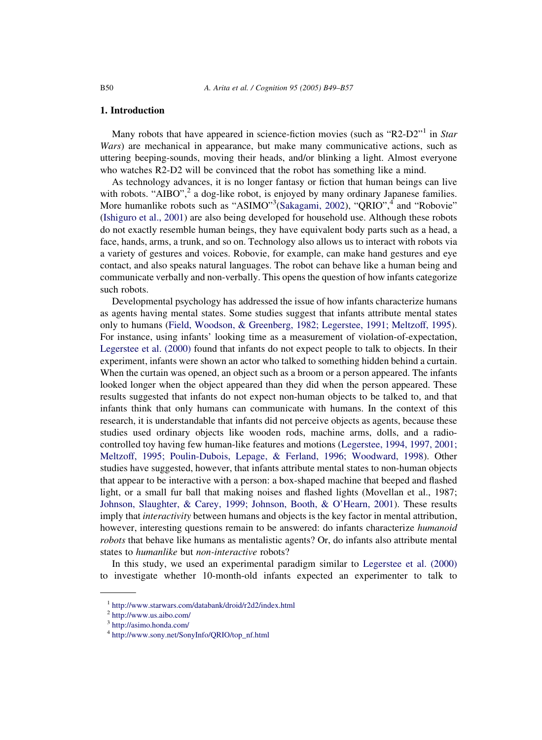# 1. Introduction

Many robots that have appeared in science-fiction movies (such as "R2-D2"<sup>1</sup> in Star Wars) are mechanical in appearance, but make many communicative actions, such as uttering beeping-sounds, moving their heads, and/or blinking a light. Almost everyone who watches R2-D2 will be convinced that the robot has something like a mind.

As technology advances, it is no longer fantasy or fiction that human beings can live with robots. "AIBO", $^2$  a dog-like robot, is enjoyed by many ordinary Japanese families. More humanlike robots such as "ASIMO"<sup>3</sup>[\(Sakagami, 2002](#page-8-0)), "QRIO",<sup>4</sup> and "Robovie" ([Ishiguro et al., 2001\)](#page-8-0) are also being developed for household use. Although these robots do not exactly resemble human beings, they have equivalent body parts such as a head, a face, hands, arms, a trunk, and so on. Technology also allows us to interact with robots via a variety of gestures and voices. Robovie, for example, can make hand gestures and eye contact, and also speaks natural languages. The robot can behave like a human being and communicate verbally and non-verbally. This opens the question of how infants categorize such robots.

Developmental psychology has addressed the issue of how infants characterize humans as agents having mental states. Some studies suggest that infants attribute mental states only to humans [\(Field, Woodson, & Greenberg, 1982; Legerstee, 1991; Meltzoff, 1995](#page-8-0)). For instance, using infants' looking time as a measurement of violation-of-expectation, [Legerstee et al. \(2000\)](#page-8-0) found that infants do not expect people to talk to objects. In their experiment, infants were shown an actor who talked to something hidden behind a curtain. When the curtain was opened, an object such as a broom or a person appeared. The infants looked longer when the object appeared than they did when the person appeared. These results suggested that infants do not expect non-human objects to be talked to, and that infants think that only humans can communicate with humans. In the context of this research, it is understandable that infants did not perceive objects as agents, because these studies used ordinary objects like wooden rods, machine arms, dolls, and a radiocontrolled toy having few human-like features and motions ([Legerstee, 1994, 1997, 2001;](#page-8-0) [Meltzoff, 1995; Poulin-Dubois, Lepage, & Ferland, 1996; Woodward, 1998](#page-8-0)). Other studies have suggested, however, that infants attribute mental states to non-human objects that appear to be interactive with a person: a box-shaped machine that beeped and flashed light, or a small fur ball that making noises and flashed lights (Movellan et al., 1987; [Johnson, Slaughter, & Carey, 1999; Johnson, Booth, & O'Hearn, 2001\)](#page-8-0). These results imply that *interactivity* between humans and objects is the key factor in mental attribution, however, interesting questions remain to be answered: do infants characterize *humanoid* robots that behave like humans as mentalistic agents? Or, do infants also attribute mental states to humanlike but non-interactive robots?

In this study, we used an experimental paradigm similar to [Legerstee et al. \(2000\)](#page-8-0) to investigate whether 10-month-old infants expected an experimenter to talk to

<sup>1</sup> <http://www.starwars.com/databank/droid/r2d2/index.html>

<sup>2</sup> <http://www.us.aibo.com/>

<sup>3</sup> <http://asimo.honda.com/>

<sup>4</sup> [http://www.sony.net/SonyInfo/QRIO/top\\_nf.html](http://www.sony.net/SonyInfo/QRIO/top_nf.html)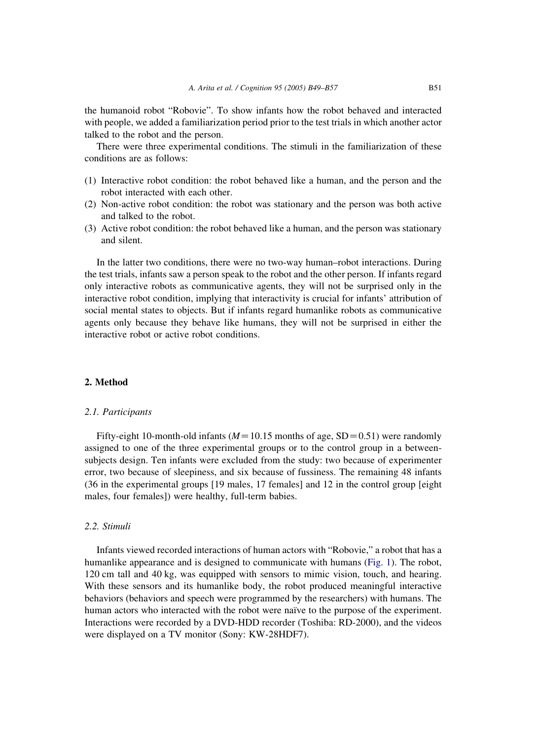the humanoid robot "Robovie". To show infants how the robot behaved and interacted with people, we added a familiarization period prior to the test trials in which another actor talked to the robot and the person.

There were three experimental conditions. The stimuli in the familiarization of these conditions are as follows:

- (1) Interactive robot condition: the robot behaved like a human, and the person and the robot interacted with each other.
- (2) Non-active robot condition: the robot was stationary and the person was both active and talked to the robot.
- (3) Active robot condition: the robot behaved like a human, and the person was stationary and silent.

In the latter two conditions, there were no two-way human–robot interactions. During the test trials, infants saw a person speak to the robot and the other person. If infants regard only interactive robots as communicative agents, they will not be surprised only in the interactive robot condition, implying that interactivity is crucial for infants' attribution of social mental states to objects. But if infants regard humanlike robots as communicative agents only because they behave like humans, they will not be surprised in either the interactive robot or active robot conditions.

# 2. Method

#### 2.1. Participants

Fifty-eight 10-month-old infants ( $M=10.15$  months of age, SD = 0.51) were randomly assigned to one of the three experimental groups or to the control group in a betweensubjects design. Ten infants were excluded from the study: two because of experimenter error, two because of sleepiness, and six because of fussiness. The remaining 48 infants (36 in the experimental groups [19 males, 17 females] and 12 in the control group [eight males, four females]) were healthy, full-term babies.

# 2.2. Stimuli

Infants viewed recorded interactions of human actors with "Robovie," a robot that has a humanlike appearance and is designed to communicate with humans [\(Fig. 1\)](#page-3-0). The robot, 120 cm tall and 40 kg, was equipped with sensors to mimic vision, touch, and hearing. With these sensors and its humanlike body, the robot produced meaningful interactive behaviors (behaviors and speech were programmed by the researchers) with humans. The human actors who interacted with the robot were naïve to the purpose of the experiment. Interactions were recorded by a DVD-HDD recorder (Toshiba: RD-2000), and the videos were displayed on a TV monitor (Sony: KW-28HDF7).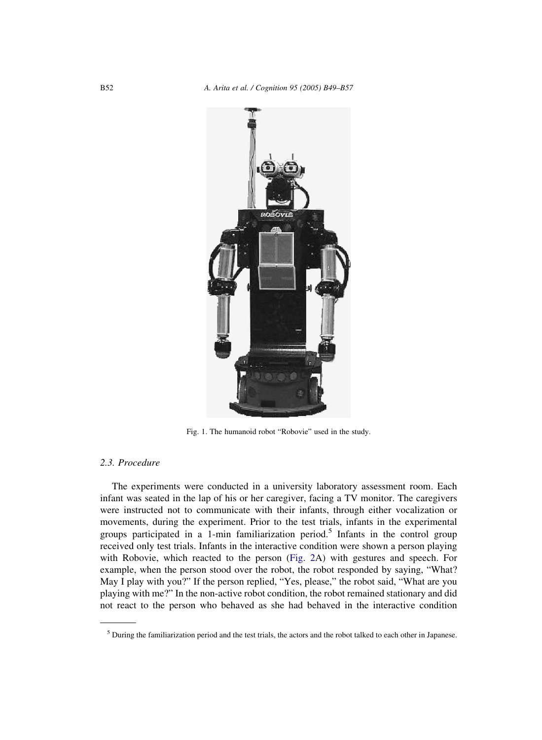<span id="page-3-0"></span>

Fig. 1. The humanoid robot "Robovie" used in the study.

# 2.3. Procedure

The experiments were conducted in a university laboratory assessment room. Each infant was seated in the lap of his or her caregiver, facing a TV monitor. The caregivers were instructed not to communicate with their infants, through either vocalization or movements, during the experiment. Prior to the test trials, infants in the experimental groups participated in a 1-min familiarization period.<sup>5</sup> Infants in the control group received only test trials. Infants in the interactive condition were shown a person playing with Robovie, which reacted to the person [\(Fig. 2A](#page-4-0)) with gestures and speech. For example, when the person stood over the robot, the robot responded by saying, "What? May I play with you?" If the person replied, "Yes, please," the robot said, "What are you playing with me?" In the non-active robot condition, the robot remained stationary and did not react to the person who behaved as she had behaved in the interactive condition

<sup>5</sup> During the familiarization period and the test trials, the actors and the robot talked to each other in Japanese.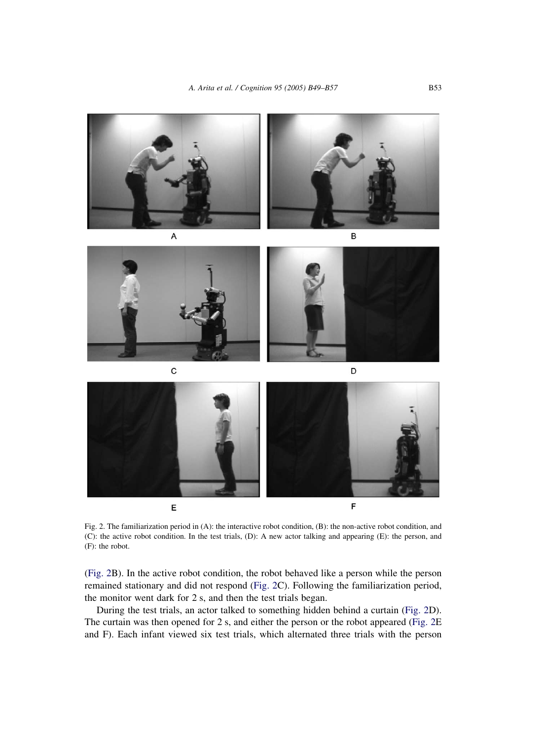<span id="page-4-0"></span>

Fig. 2. The familiarization period in (A): the interactive robot condition, (B): the non-active robot condition, and (C): the active robot condition. In the test trials, (D): A new actor talking and appearing (E): the person, and (F): the robot.

(Fig. 2B). In the active robot condition, the robot behaved like a person while the person remained stationary and did not respond (Fig. 2C). Following the familiarization period, the monitor went dark for 2 s, and then the test trials began.

During the test trials, an actor talked to something hidden behind a curtain (Fig. 2D). The curtain was then opened for 2 s, and either the person or the robot appeared (Fig. 2E and F). Each infant viewed six test trials, which alternated three trials with the person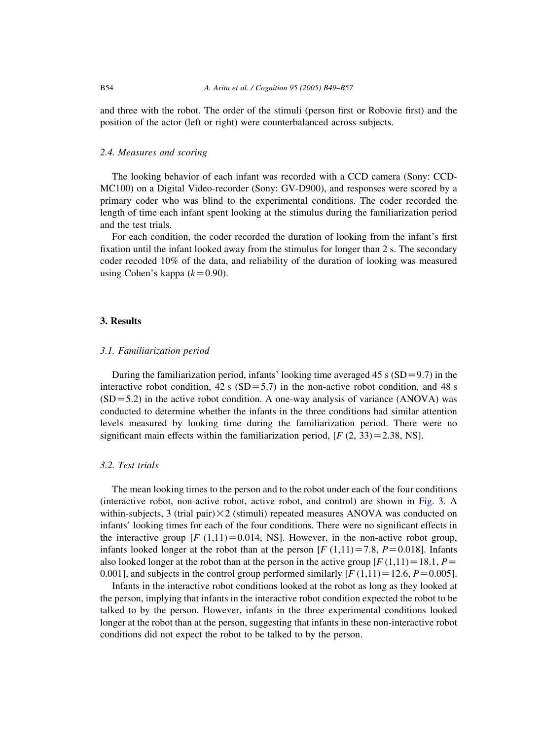and three with the robot. The order of the stimuli (person first or Robovie first) and the position of the actor (left or right) were counterbalanced across subjects.

#### 2.4. Measures and scoring

The looking behavior of each infant was recorded with a CCD camera (Sony: CCD-MC100) on a Digital Video-recorder (Sony: GV-D900), and responses were scored by a primary coder who was blind to the experimental conditions. The coder recorded the length of time each infant spent looking at the stimulus during the familiarization period and the test trials.

For each condition, the coder recorded the duration of looking from the infant's first fixation until the infant looked away from the stimulus for longer than 2 s. The secondary coder recoded 10% of the data, and reliability of the duration of looking was measured using Cohen's kappa  $(k=0.90)$ .

#### 3. Results

## 3.1. Familiarization period

During the familiarization period, infants' looking time averaged 45 s  $(SD=9.7)$  in the interactive robot condition, 42 s (SD=5.7) in the non-active robot condition, and 48 s  $(SD=5.2)$  in the active robot condition. A one-way analysis of variance (ANOVA) was conducted to determine whether the infants in the three conditions had similar attention levels measured by looking time during the familiarization period. There were no significant main effects within the familiarization period,  $[F (2, 33) = 2.38, NS]$ .

## 3.2. Test trials

The mean looking times to the person and to the robot under each of the four conditions (interactive robot, non-active robot, active robot, and control) are shown in [Fig. 3](#page-6-0). A within-subjects, 3 (trial pair)  $\times$  2 (stimuli) repeated measures ANOVA was conducted on infants' looking times for each of the four conditions. There were no significant effects in the interactive group  $[F (1,11) = 0.014, NS]$ . However, in the non-active robot group, infants looked longer at the robot than at the person  $[F(1,11) = 7.8, P = 0.018]$ . Infants also looked longer at the robot than at the person in the active group  $[F(1,11) = 18.1, P=$ 0.001], and subjects in the control group performed similarly  $[F(1,11) = 12.6, P = 0.005]$ .

Infants in the interactive robot conditions looked at the robot as long as they looked at the person, implying that infants in the interactive robot condition expected the robot to be talked to by the person. However, infants in the three experimental conditions looked longer at the robot than at the person, suggesting that infants in these non-interactive robot conditions did not expect the robot to be talked to by the person.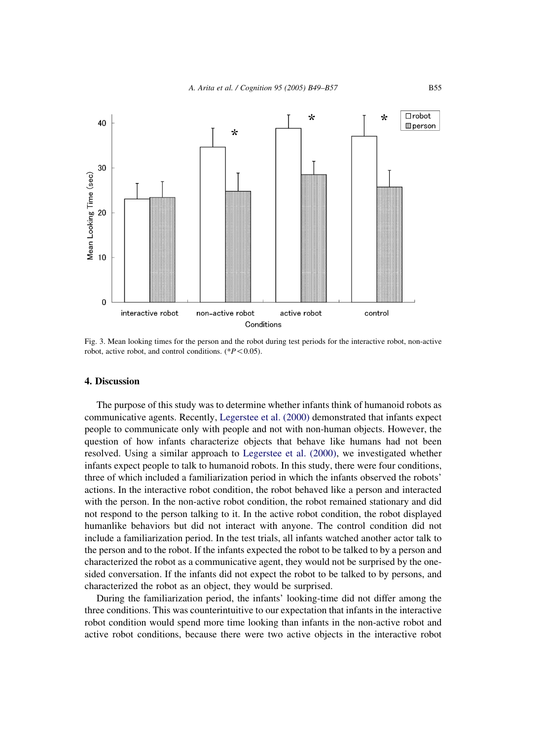<span id="page-6-0"></span>

Fig. 3. Mean looking times for the person and the robot during test periods for the interactive robot, non-active robot, active robot, and control conditions.  $(*P<0.05)$ .

# 4. Discussion

The purpose of this study was to determine whether infants think of humanoid robots as communicative agents. Recently, [Legerstee et al. \(2000\)](#page-8-0) demonstrated that infants expect people to communicate only with people and not with non-human objects. However, the question of how infants characterize objects that behave like humans had not been resolved. Using a similar approach to [Legerstee et al. \(2000\),](#page-8-0) we investigated whether infants expect people to talk to humanoid robots. In this study, there were four conditions, three of which included a familiarization period in which the infants observed the robots' actions. In the interactive robot condition, the robot behaved like a person and interacted with the person. In the non-active robot condition, the robot remained stationary and did not respond to the person talking to it. In the active robot condition, the robot displayed humanlike behaviors but did not interact with anyone. The control condition did not include a familiarization period. In the test trials, all infants watched another actor talk to the person and to the robot. If the infants expected the robot to be talked to by a person and characterized the robot as a communicative agent, they would not be surprised by the onesided conversation. If the infants did not expect the robot to be talked to by persons, and characterized the robot as an object, they would be surprised.

During the familiarization period, the infants' looking-time did not differ among the three conditions. This was counterintuitive to our expectation that infants in the interactive robot condition would spend more time looking than infants in the non-active robot and active robot conditions, because there were two active objects in the interactive robot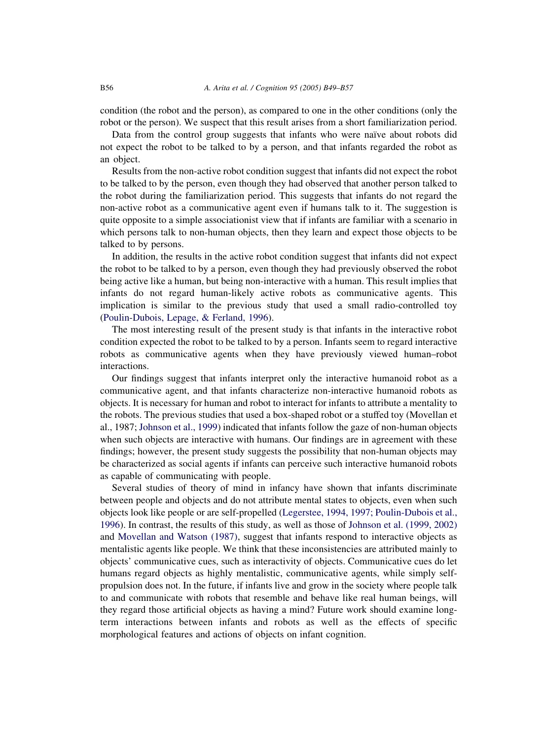condition (the robot and the person), as compared to one in the other conditions (only the robot or the person). We suspect that this result arises from a short familiarization period.

Data from the control group suggests that infants who were naïve about robots did not expect the robot to be talked to by a person, and that infants regarded the robot as an object.

Results from the non-active robot condition suggest that infants did not expect the robot to be talked to by the person, even though they had observed that another person talked to the robot during the familiarization period. This suggests that infants do not regard the non-active robot as a communicative agent even if humans talk to it. The suggestion is quite opposite to a simple associationist view that if infants are familiar with a scenario in which persons talk to non-human objects, then they learn and expect those objects to be talked to by persons.

In addition, the results in the active robot condition suggest that infants did not expect the robot to be talked to by a person, even though they had previously observed the robot being active like a human, but being non-interactive with a human. This result implies that infants do not regard human-likely active robots as communicative agents. This implication is similar to the previous study that used a small radio-controlled toy ([Poulin-Dubois, Lepage, & Ferland, 1996](#page-8-0)).

The most interesting result of the present study is that infants in the interactive robot condition expected the robot to be talked to by a person. Infants seem to regard interactive robots as communicative agents when they have previously viewed human–robot interactions.

Our findings suggest that infants interpret only the interactive humanoid robot as a communicative agent, and that infants characterize non-interactive humanoid robots as objects. It is necessary for human and robot to interact for infants to attribute a mentality to the robots. The previous studies that used a box-shaped robot or a stuffed toy (Movellan et al., 1987; [Johnson et al., 1999](#page-8-0)) indicated that infants follow the gaze of non-human objects when such objects are interactive with humans. Our findings are in agreement with these findings; however, the present study suggests the possibility that non-human objects may be characterized as social agents if infants can perceive such interactive humanoid robots as capable of communicating with people.

Several studies of theory of mind in infancy have shown that infants discriminate between people and objects and do not attribute mental states to objects, even when such objects look like people or are self-propelled ([Legerstee, 1994, 1997; Poulin-Dubois et al.,](#page-8-0) [1996\)](#page-8-0). In contrast, the results of this study, as well as those of [Johnson et al. \(1999, 2002\)](#page-8-0) and [Movellan and Watson \(1987\),](#page-8-0) suggest that infants respond to interactive objects as mentalistic agents like people. We think that these inconsistencies are attributed mainly to objects' communicative cues, such as interactivity of objects. Communicative cues do let humans regard objects as highly mentalistic, communicative agents, while simply selfpropulsion does not. In the future, if infants live and grow in the society where people talk to and communicate with robots that resemble and behave like real human beings, will they regard those artificial objects as having a mind? Future work should examine longterm interactions between infants and robots as well as the effects of specific morphological features and actions of objects on infant cognition.